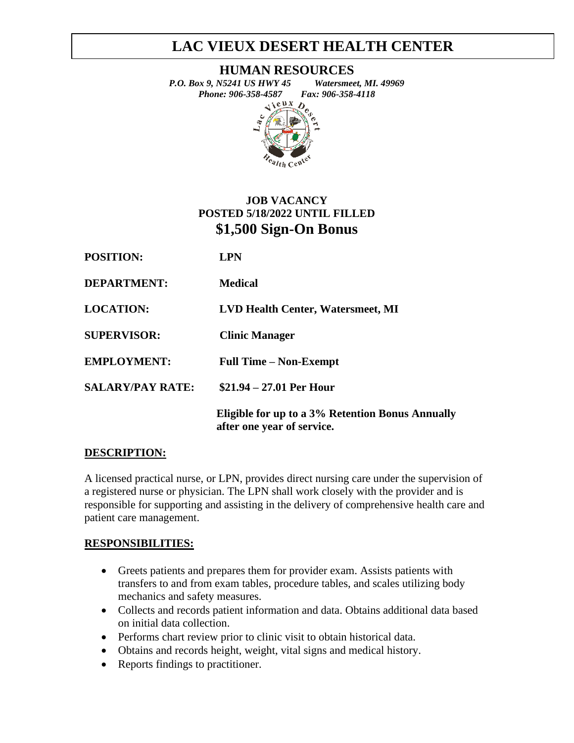# **LAC VIEUX DESERT HEALTH CENTER**

**HUMAN RESOURCES**

*P.O. Box 9, N5241 US HWY 45 Watersmeet, MI. 49969 Phone: 906-358-4587 Fax: 906-358-4118*<br>  $\leftrightarrow$ <sup>8 UX</sup> *D*  $\boldsymbol{D}$ 

<sup>e</sup>alth Ce<sup>nt</sup>

# **JOB VACANCY POSTED 5/18/2022 UNTIL FILLED \$1,500 Sign-On Bonus**

| <b>POSITION:</b>        | <b>LPN</b>                                                                     |
|-------------------------|--------------------------------------------------------------------------------|
| <b>DEPARTMENT:</b>      | <b>Medical</b>                                                                 |
| <b>LOCATION:</b>        | <b>LVD Health Center, Watersmeet, MI</b>                                       |
| <b>SUPERVISOR:</b>      | <b>Clinic Manager</b>                                                          |
| <b>EMPLOYMENT:</b>      | <b>Full Time – Non-Exempt</b>                                                  |
| <b>SALARY/PAY RATE:</b> | $$21.94 - 27.01$ Per Hour                                                      |
|                         | Eligible for up to a 3% Retention Bonus Annually<br>after one year of service. |

## **DESCRIPTION:**

A licensed practical nurse, or LPN, provides direct nursing care under the supervision of a registered nurse or physician. The LPN shall work closely with the provider and is responsible for supporting and assisting in the delivery of comprehensive health care and patient care management.

## **RESPONSIBILITIES:**

- Greets patients and prepares them for provider exam. Assists patients with transfers to and from exam tables, procedure tables, and scales utilizing body mechanics and safety measures.
- Collects and records patient information and data. Obtains additional data based on initial data collection.
- Performs chart review prior to clinic visit to obtain historical data.
- Obtains and records height, weight, vital signs and medical history.
- Reports findings to practitioner.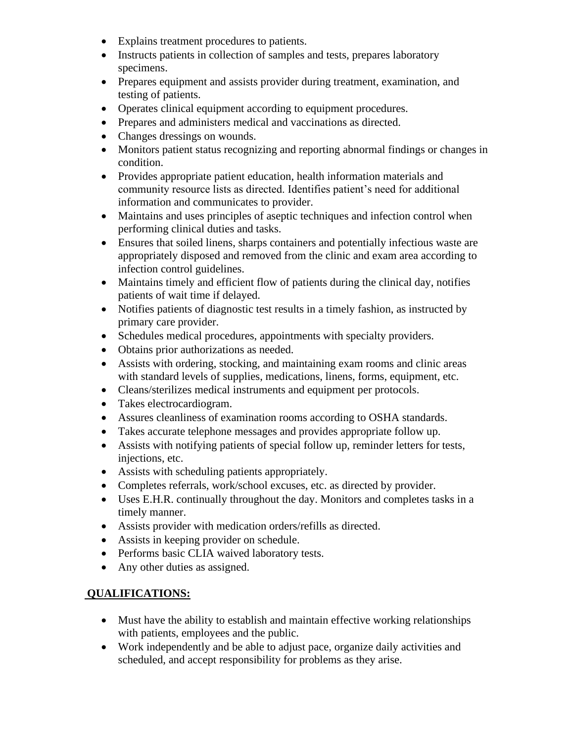- Explains treatment procedures to patients.
- Instructs patients in collection of samples and tests, prepares laboratory specimens.
- Prepares equipment and assists provider during treatment, examination, and testing of patients.
- Operates clinical equipment according to equipment procedures.
- Prepares and administers medical and vaccinations as directed.
- Changes dressings on wounds.
- Monitors patient status recognizing and reporting abnormal findings or changes in condition.
- Provides appropriate patient education, health information materials and community resource lists as directed. Identifies patient's need for additional information and communicates to provider.
- Maintains and uses principles of aseptic techniques and infection control when performing clinical duties and tasks.
- Ensures that soiled linens, sharps containers and potentially infectious waste are appropriately disposed and removed from the clinic and exam area according to infection control guidelines.
- Maintains timely and efficient flow of patients during the clinical day, notifies patients of wait time if delayed.
- Notifies patients of diagnostic test results in a timely fashion, as instructed by primary care provider.
- Schedules medical procedures, appointments with specialty providers.
- Obtains prior authorizations as needed.
- Assists with ordering, stocking, and maintaining exam rooms and clinic areas with standard levels of supplies, medications, linens, forms, equipment, etc.
- Cleans/sterilizes medical instruments and equipment per protocols.
- Takes electrocardiogram.
- Assures cleanliness of examination rooms according to OSHA standards.
- Takes accurate telephone messages and provides appropriate follow up.
- Assists with notifying patients of special follow up, reminder letters for tests, injections, etc.
- Assists with scheduling patients appropriately.
- Completes referrals, work/school excuses, etc. as directed by provider.
- Uses E.H.R. continually throughout the day. Monitors and completes tasks in a timely manner.
- Assists provider with medication orders/refills as directed.
- Assists in keeping provider on schedule.
- Performs basic CLIA waived laboratory tests.
- Any other duties as assigned.

## **QUALIFICATIONS:**

- Must have the ability to establish and maintain effective working relationships with patients, employees and the public.
- Work independently and be able to adjust pace, organize daily activities and scheduled, and accept responsibility for problems as they arise.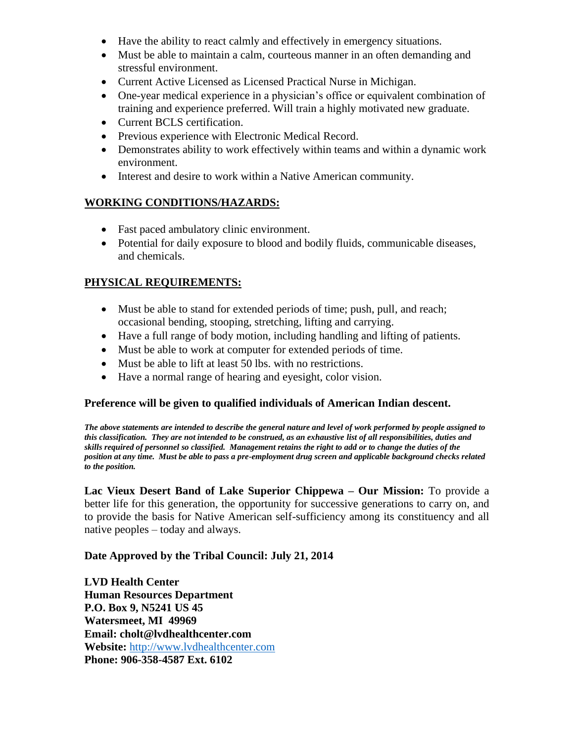- Have the ability to react calmly and effectively in emergency situations.
- Must be able to maintain a calm, courteous manner in an often demanding and stressful environment.
- Current Active Licensed as Licensed Practical Nurse in Michigan.
- One-year medical experience in a physician's office or equivalent combination of training and experience preferred. Will train a highly motivated new graduate.
- Current BCLS certification.
- Previous experience with Electronic Medical Record.
- Demonstrates ability to work effectively within teams and within a dynamic work environment.
- Interest and desire to work within a Native American community.

## **WORKING CONDITIONS/HAZARDS:**

- Fast paced ambulatory clinic environment.
- Potential for daily exposure to blood and bodily fluids, communicable diseases, and chemicals.

## **PHYSICAL REQUIREMENTS:**

- Must be able to stand for extended periods of time; push, pull, and reach; occasional bending, stooping, stretching, lifting and carrying.
- Have a full range of body motion, including handling and lifting of patients.
- Must be able to work at computer for extended periods of time.
- Must be able to lift at least 50 lbs. with no restrictions.
- Have a normal range of hearing and eyesight, color vision.

#### **Preference will be given to qualified individuals of American Indian descent.**

*The above statements are intended to describe the general nature and level of work performed by people assigned to this classification. They are not intended to be construed, as an exhaustive list of all responsibilities, duties and skills required of personnel so classified. Management retains the right to add or to change the duties of the position at any time. Must be able to pass a pre-employment drug screen and applicable background checks related to the position.* 

**Lac Vieux Desert Band of Lake Superior Chippewa – Our Mission:** To provide a better life for this generation, the opportunity for successive generations to carry on, and to provide the basis for Native American self-sufficiency among its constituency and all native peoples – today and always.

#### **Date Approved by the Tribal Council: July 21, 2014**

**LVD Health Center Human Resources Department P.O. Box 9, N5241 US 45 Watersmeet, MI 49969 Email: cholt@lvdhealthcenter.com Website:** [http://www.lvdhealthcenter.com](http://www.lvdhealthcenter.com/) **Phone: 906-358-4587 Ext. 6102**